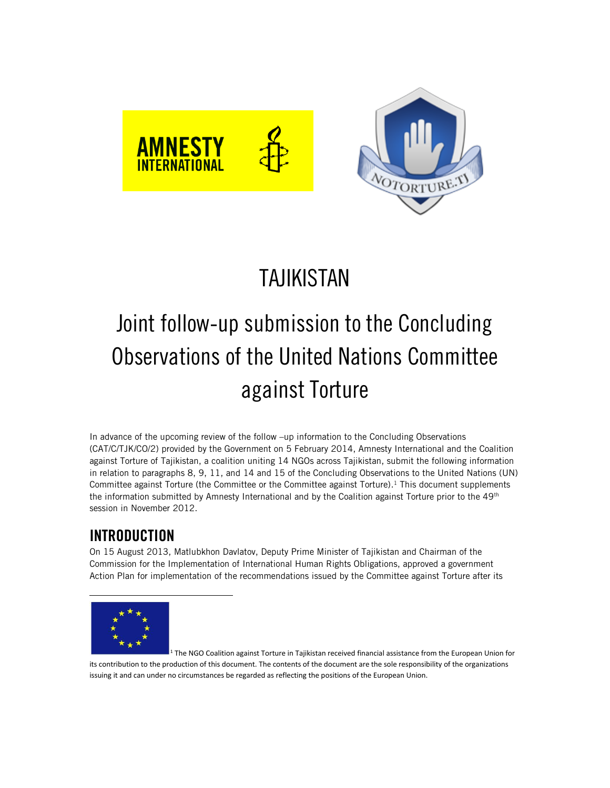

# Joint follow-up submission to the Concluding Observations of the United Nations Committee against Torture

In advance of the upcoming review of the follow –up information to the Concluding Observations (CAT/C/TJK/CO/2) provided by the Government on 5 February 2014, Amnesty International and the Coalition against Torture of Tajikistan, a coalition uniting 14 NGOs across Tajikistan, submit the following information in relation to paragraphs 8, 9, 11, and 14 and 15 of the Concluding Observations to the United Nations (UN) Committee against Torture (the Committee or the Committee against Torture). <sup>1</sup> This document supplements the information submitted by Amnesty International and by the Coalition against Torture prior to the  $49<sup>th</sup>$ session in November 2012.

# **INTRODUCTION**

On 15 August 2013, Matlubkhon Davlatov, Deputy Prime Minister of Tajikistan and Chairman of the Commission for the Implementation of International Human Rights Obligations, approved a government Action Plan for implementation of the recommendations issued by the Committee against Torture after its



<sup>1</sup> The NGO Coalition against Torture in Tajikistan received financial assistance from the European Union for its contribution to the production of this document. The contents of the document are the sole responsibility of the organizations issuing it and can under no circumstances be regarded as reflecting the positions of the European Union.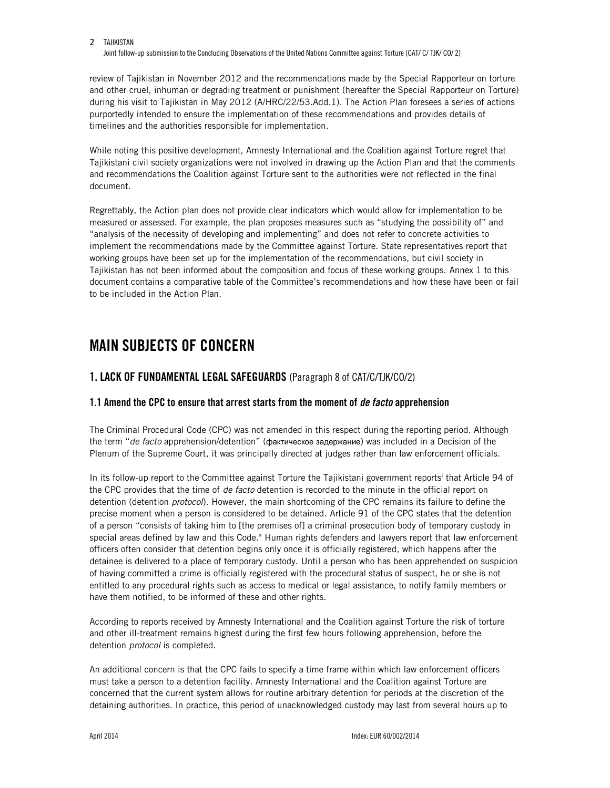Joint follow-up submission to the Concluding Observations of the United Nations Committee against Torture (CAT/ C/ TJK/ CO/ 2)

review of Tajikistan in November 2012 and the recommendations made by the Special Rapporteur on torture and other cruel, inhuman or degrading treatment or punishment (hereafter the Special Rapporteur on Torture) during his visit to Tajikistan in May 2012 (A/HRC/22/53.Add.1). The Action Plan foresees a series of actions purportedly intended to ensure the implementation of these recommendations and provides details of timelines and the authorities responsible for implementation.

While noting this positive development, Amnesty International and the Coalition against Torture regret that Tajikistani civil society organizations were not involved in drawing up the Action Plan and that the comments and recommendations the Coalition against Torture sent to the authorities were not reflected in the final document.

Regrettably, the Action plan does not provide clear indicators which would allow for implementation to be measured or assessed. For example, the plan proposes measures such as "studying the possibility of" and "analysis of the necessity of developing and implementing" and does not refer to concrete activities to implement the recommendations made by the Committee against Torture. State representatives report that working groups have been set up for the implementation of the recommendations, but civil society in Tajikistan has not been informed about the composition and focus of these working groups. Annex 1 to this document contains a comparative table of the Committee's recommendations and how these have been or fail to be included in the Action Plan.

# **MAIN SUBJECTS OF CONCERN**

### **1. LACK OF FUNDAMENTAL LEGAL SAFEGUARDS** (Paragraph 8 of CAT/C/TJK/CO/2)

### **1.1 Amend the CPC to ensure that arrest starts from the moment of** *de facto* **apprehension**

The Criminal Procedural Code (CPC) was not amended in this respect during the reporting period. Although the term "*de facto* apprehension/detention" (фактическое задержание) was included in a Decision of the Plenum of the Supreme Court, it was principally directed at judges rather than law enforcement officials.

In its follow-up report to the Committee against Torture the Tajikistani government reports<sup>i</sup> that Article 94 of the CPC provides that the time of *de facto* detention is recorded to the minute in the official report on detention (detention *protocol*). However, the main shortcoming of the CPC remains its failure to define the precise moment when a person is considered to be detained. Article 91 of the CPC states that the detention of a person "consists of taking him to [the premises of] a criminal prosecution body of temporary custody in special areas defined by law and this Code." Human rights defenders and lawyers report that law enforcement officers often consider that detention begins only once it is officially registered, which happens after the detainee is delivered to a place of temporary custody. Until a person who has been apprehended on suspicion of having committed a crime is officially registered with the procedural status of suspect, he or she is not entitled to any procedural rights such as access to medical or legal assistance, to notify family members or have them notified, to be informed of these and other rights.

According to reports received by Amnesty International and the Coalition against Torture the risk of torture and other ill-treatment remains highest during the first few hours following apprehension, before the detention *protocol* is completed.

An additional concern is that the CPC fails to specify a time frame within which law enforcement officers must take a person to a detention facility. Amnesty International and the Coalition against Torture are concerned that the current system allows for routine arbitrary detention for periods at the discretion of the detaining authorities. In practice, this period of unacknowledged custody may last from several hours up to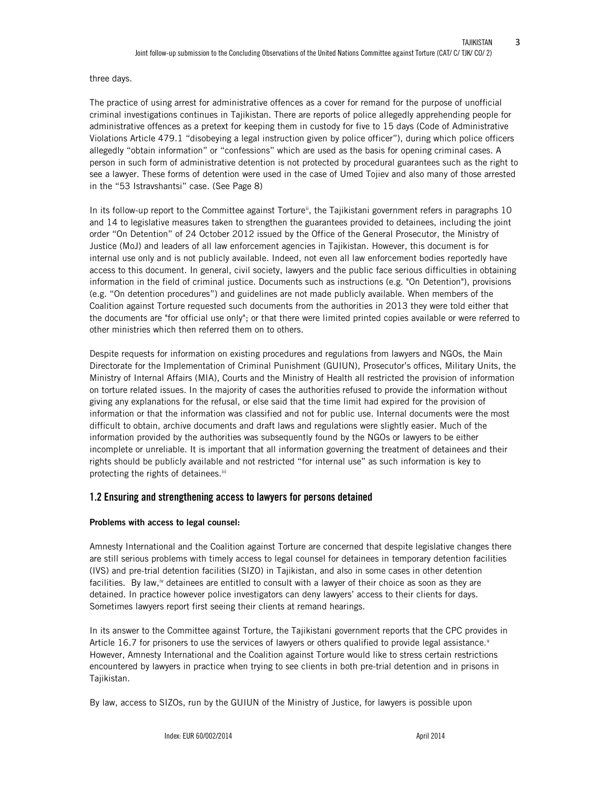three days.

The practice of using arrest for administrative offences as a cover for remand for the purpose of unofficial criminal investigations continues in Tajikistan. There are reports of police allegedly apprehending people for administrative offences as a pretext for keeping them in custody for five to 15 days (Code of Administrative Violations Article 479.1 "disobeying a legal instruction given by police officer"), during which police officers allegedly "obtain information" or "confessions" which are used as the basis for opening criminal cases. A person in such form of administrative detention is not protected by procedural guarantees such as the right to see a lawyer. These forms of detention were used in the case of Umed Tojiev and also many of those arrested in the "53 Istravshantsi" case. (See Page 8)

In its follow-up report to the Committee against Torture<sup>ii</sup>, the Tajikistani government refers in paragraphs 10 and 14 to legislative measures taken to strengthen the guarantees provided to detainees, including the joint order "On Detention" of 24 October 2012 issued by the Office of the General Prosecutor, the Ministry of Justice (MoJ) and leaders of all law enforcement agencies in Tajikistan. However, this document is for internal use only and is not publicly available. Indeed, not even all law enforcement bodies reportedly have access to this document. In general, civil society, lawyers and the public face serious difficulties in obtaining information in the field of criminal justice. Documents such as instructions (e.g. "On Detention"), provisions (e.g. "On detention procedures") and guidelines are not made publicly available. When members of the Coalition against Torture requested such documents from the authorities in 2013 they were told either that the documents are "for official use only"; or that there were limited printed copies available or were referred to other ministries which then referred them on to others.

Despite requests for information on existing procedures and regulations from lawyers and NGOs, the Main Directorate for the Implementation of Criminal Punishment (GUIUN), Prosecutor's offices, Military Units, the Ministry of Internal Affairs (MIA), Courts and the Ministry of Health all restricted the provision of information on torture related issues. In the majority of cases the authorities refused to provide the information without giving any explanations for the refusal, or else said that the time limit had expired for the provision of information or that the information was classified and not for public use. Internal documents were the most difficult to obtain, archive documents and draft laws and regulations were slightly easier. Much of the information provided by the authorities was subsequently found by the NGOs or lawyers to be either incomplete or unreliable. It is important that all information governing the treatment of detainees and their rights should be publicly available and not restricted "for internal use" as such information is key to protecting the rights of detainees.<sup>iii</sup>

#### **1.2 Ensuring and strengthening access to lawyers for persons detained**

#### **Problems with access to legal counsel:**

Amnesty International and the Coalition against Torture are concerned that despite legislative changes there are still serious problems with timely access to legal counsel for detainees in temporary detention facilities (IVS) and pre-trial detention facilities (SIZO) in Tajikistan, and also in some cases in other detention facilities. By law,<sup>iv</sup> detainees are entitled to consult with a lawyer of their choice as soon as they are detained. In practice however police investigators can deny lawyers' access to their clients for days. Sometimes lawyers report first seeing their clients at remand hearings.

In its answer to the Committee against Torture, the Tajikistani government reports that the CPC provides in Article 16.7 for prisoners to use the services of lawyers or others qualified to provide legal assistance. $v$ However, Amnesty International and the Coalition against Torture would like to stress certain restrictions encountered by lawyers in practice when trying to see clients in both pre-trial detention and in prisons in Tajikistan.

By law, access to SIZOs, run by the GUIUN of the Ministry of Justice, for lawyers is possible upon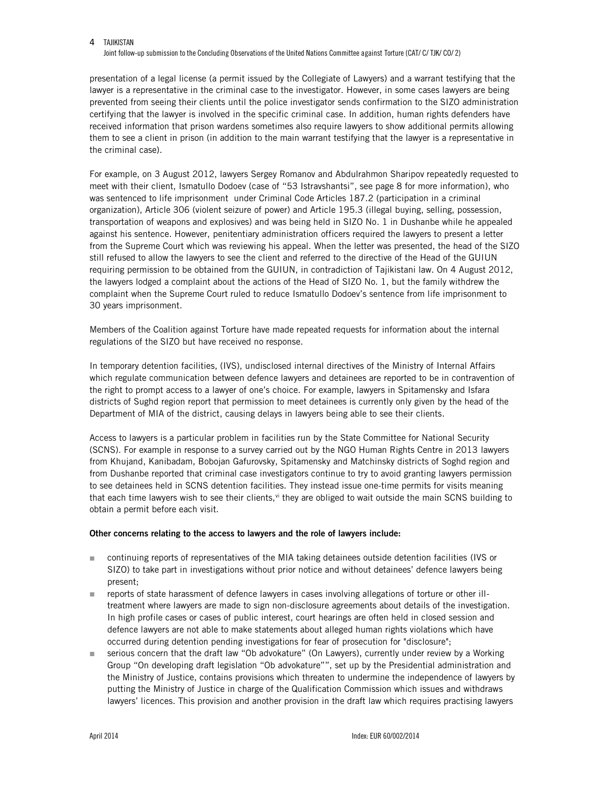Joint follow-up submission to the Concluding Observations of the United Nations Committee against Torture (CAT/ C/ TJK/ CO/ 2)

presentation of a legal license (a permit issued by the Collegiate of Lawyers) and a warrant testifying that the lawyer is a representative in the criminal case to the investigator. However, in some cases lawyers are being prevented from seeing their clients until the police investigator sends confirmation to the SIZO administration certifying that the lawyer is involved in the specific criminal case. In addition, human rights defenders have received information that prison wardens sometimes also require lawyers to show additional permits allowing them to see a client in prison (in addition to the main warrant testifying that the lawyer is a representative in the criminal case).

For example, on 3 August 2012, lawyers Sergey Romanov and Abdulrahmon Sharipov repeatedly requested to meet with their client, Ismatullo Dodoev (case of "53 Istravshantsi", see page 8 for more information), who was sentenced to life imprisonment under Criminal Code Articles 187.2 (participation in a criminal organization), Article 306 (violent seizure of power) and Article 195.3 (illegal buying, selling, possession, transportation of weapons and explosives) and was being held in SIZO No. 1 in Dushanbe while he appealed against his sentence. However, penitentiary administration officers required the lawyers to present a letter from the Supreme Court which was reviewing his appeal. When the letter was presented, the head of the SIZO still refused to allow the lawyers to see the client and referred to the directive of the Head of the GUIUN requiring permission to be obtained from the GUIUN, in contradiction of Tajikistani law. On 4 August 2012, the lawyers lodged a complaint about the actions of the Head of SIZO No. 1, but the family withdrew the complaint when the Supreme Court ruled to reduce Ismatullo Dodoev's sentence from life imprisonment to 30 years imprisonment.

Members of the Coalition against Torture have made repeated requests for information about the internal regulations of the SIZO but have received no response.

In temporary detention facilities, (IVS), undisclosed internal directives of the Ministry of Internal Affairs which regulate communication between defence lawyers and detainees are reported to be in contravention of the right to prompt access to a lawyer of one's choice. For example, lawyers in Spitamensky and Isfara districts of Sughd region report that permission to meet detainees is currently only given by the head of the Department of MIA of the district, causing delays in lawyers being able to see their clients.

Access to lawyers is a particular problem in facilities run by the State Committee for National Security (SCNS). For example in response to a survey carried out by the NGO Human Rights Centre in 2013 lawyers from Khujand, Kanibadam, Bobojan Gafurovsky, Spitamensky and Matchinsky districts of Soghd region and from Dushanbe reported that criminal case investigators continue to try to avoid granting lawyers permission to see detainees held in SCNS detention facilities. They instead issue one-time permits for visits meaning that each time lawyers wish to see their clients,<sup>vi</sup> they are obliged to wait outside the main SCNS building to obtain a permit before each visit.

#### **Other concerns relating to the access to lawyers and the role of lawyers include:**

- continuing reports of representatives of the MIA taking detainees outside detention facilities (IVS or SIZO) to take part in investigations without prior notice and without detainees' defence lawyers being present;
- **Figure 1** reports of state harassment of defence lawyers in cases involving allegations of torture or other illtreatment where lawyers are made to sign non-disclosure agreements about details of the investigation. In high profile cases or cases of public interest, court hearings are often held in closed session and defence lawyers are not able to make statements about alleged human rights violations which have occurred during detention pending investigations for fear of prosecution for "disclosure";
- serious concern that the draft law "Ob advokature" (On Lawyers), currently under review by a Working Group "On developing draft legislation "Ob advokature"", set up by the Presidential administration and the Ministry of Justice, contains provisions which threaten to undermine the independence of lawyers by putting the Ministry of Justice in charge of the Qualification Commission which issues and withdraws lawyers' licences. This provision and another provision in the draft law which requires practising lawyers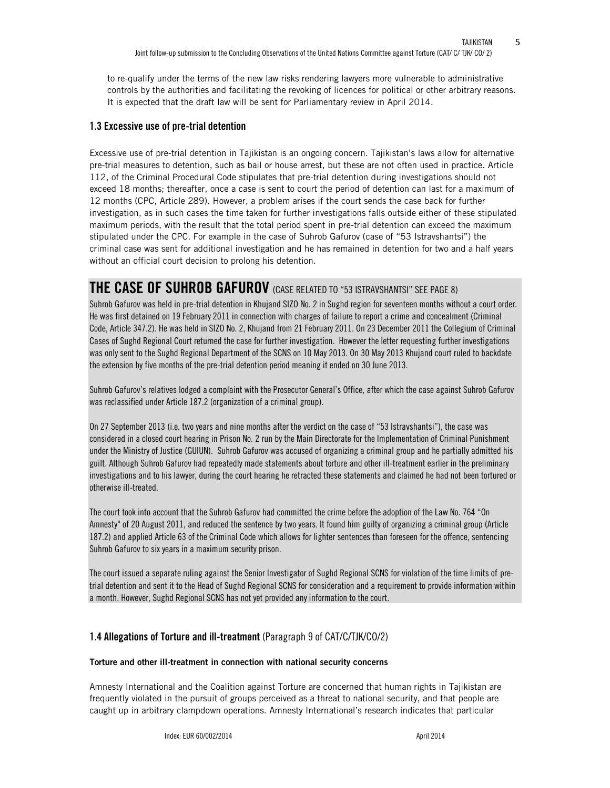to re-qualify under the terms of the new law risks rendering lawyers more vulnerable to administrative controls by the authorities and facilitating the revoking of licences for political or other arbitrary reasons. It is expected that the draft law will be sent for Parliamentary review in April 2014.

### **1.3 Excessive use of pre-trial detention**

Excessive use of pre-trial detention in Tajikistan is an ongoing concern. Tajikistan's laws allow for alternative pre-trial measures to detention, such as bail or house arrest, but these are not often used in practice. Article 112, of the Criminal Procedural Code stipulates that pre-trial detention during investigations should not exceed 18 months; thereafter, once a case is sent to court the period of detention can last for a maximum of 12 months (CPC, Article 289). However, a problem arises if the court sends the case back for further investigation, as in such cases the time taken for further investigations falls outside either of these stipulated maximum periods, with the result that the total period spent in pre-trial detention can exceed the maximum stipulated under the CPC. For example in the case of Suhrob Gafurov (case of "53 Istravshantsi") the criminal case was sent for additional investigation and he has remained in detention for two and a half years without an official court decision to prolong his detention.

# **THE CASE OF SUHROB GAFUROV** (CASE RELATED TO "53 ISTRAVSHANTSI" SEE PAGE 8)

Suhrob Gafurov was held in pre-trial detention in Khujand SIZO No. 2 in Sughd region for seventeen months without a court order. He was first detained on 19 February 2011 in connection with charges of failure to report a crime and concealment (Criminal Code, Article 347.2). He was held in SIZO No. 2, Khujand from 21 February 2011. On 23 December 2011 the Collegium of Criminal Cases of Sughd Regional Court returned the case for further investigation. However the letter requesting further investigations was only sent to the Sughd Regional Department of the SCNS on 10 May 2013. On 30 May 2013 Khujand court ruled to backdate the extension by five months of the pre-trial detention period meaning it ended on 30 June 2013.

Suhrob Gafurov's relatives lodged a complaint with the Prosecutor General's Office, after which the case against Suhrob Gafurov was reclassified under Article 187.2 (organization of a criminal group).

On 27 September 2013 (i.e. two years and nine months after the verdict on the case of "53 Istravshantsi"), the case was considered in a closed court hearing in Prison No. 2 run by the Main Directorate for the Implementation of Criminal Punishment under the Ministry of Justice (GUIUN). Suhrob Gafurov was accused of organizing a criminal group and he partially admitted his guilt. Although Suhrob Gafurov had repeatedly made statements about torture and other ill-treatment earlier in the preliminary investigations and to his lawyer, during the court hearing he retracted these statements and claimed he had not been tortured or otherwise ill-treated.

The court took into account that the Suhrob Gafurov had committed the crime before the adoption of the Law No. 764 "On Amnesty" of 20 August 2011, and reduced the sentence by two years. It found him guilty of organizing a criminal group (Article 187.2) and applied Article 63 of the Criminal Code which allows for lighter sentences than foreseen for the offence, sentencing Suhrob Gafurov to six years in a maximum security prison.

The court issued a separate ruling against the Senior Investigator of Sughd Regional SCNS for violation of the time limits of pretrial detention and sent it to the Head of Sughd Regional SCNS for consideration and a requirement to provide information within a month. However, Sughd Regional SCNS has not yet provided any information to the court.

### **1.4 Allegations of Torture and ill-treatment** (Paragraph 9 of CAT/C/TJK/CO/2)

#### **Torture and other ill-treatment in connection with national security concerns**

Amnesty International and the Coalition against Torture are concerned that human rights in Tajikistan are frequently violated in the pursuit of groups perceived as a threat to national security, and that people are caught up in arbitrary clampdown operations. Amnesty International's research indicates that particular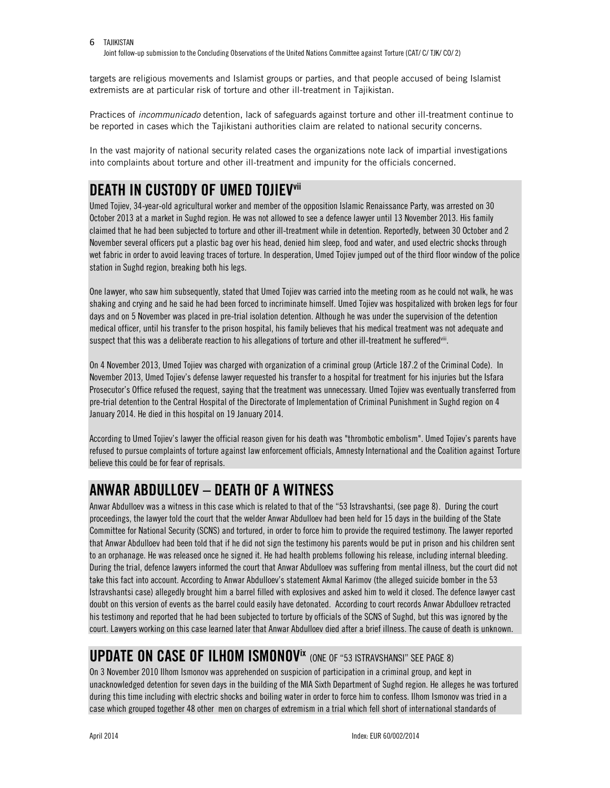Joint follow-up submission to the Concluding Observations of the United Nations Committee against Torture (CAT/ C/ TJK/ CO/ 2)

targets are religious movements and Islamist groups or parties, and that people accused of being Islamist extremists are at particular risk of torture and other ill-treatment in Tajikistan.

Practices of *incommunicado* detention, lack of safeguards against torture and other ill-treatment continue to be reported in cases which the Tajikistani authorities claim are related to national security concerns.

In the vast majority of national security related cases the organizations note lack of impartial investigations into complaints about torture and other ill-treatment and impunity for the officials concerned.

# **DEATH IN CUSTODY OF UMED TOJIEVvii**

Umed Tojiev, 34-year-old agricultural worker and member of the opposition Islamic Renaissance Party, was arrested on 30 October 2013 at a market in Sughd region. He was not allowed to see a defence lawyer until 13 November 2013. His family claimed that he had been subjected to torture and other ill-treatment while in detention. Reportedly, between 30 October and 2 November several officers put a plastic bag over his head, denied him sleep, food and water, and used electric shocks through wet fabric in order to avoid leaving traces of torture. In desperation, Umed Tojiev jumped out of the third floor window of the police station in Sughd region, breaking both his legs.

One lawyer, who saw him subsequently, stated that Umed Tojiev was carried into the meeting room as he could not walk, he was shaking and crying and he said he had been forced to incriminate himself. Umed Tojiev was hospitalized with broken legs for four days and on 5 November was placed in pre-trial isolation detention. Although he was under the supervision of the detention medical officer, until his transfer to the prison hospital, his family believes that his medical treatment was not adequate and suspect that this was a deliberate reaction to his allegations of torture and other ill-treatment he suffered<sup>vii</sup>.

On 4 November 2013, Umed Tojiev was charged with organization of a criminal group (Article 187.2 of the Criminal Code). In November 2013, Umed Tojiev's defense lawyer requested his transfer to a hospital for treatment for his injuries but the Isfara Prosecutor's Office refused the request, saying that the treatment was unnecessary. Umed Tojiev was eventually transferred from pre-trial detention to the Central Hospital of the Directorate of Implementation of Criminal Punishment in Sughd region on 4 January 2014. He died in this hospital on 19 January 2014.

According to Umed Tojiev's lawyer the official reason given for his death was "thrombotic embolism". Umed Tojiev's parents have refused to pursue complaints of torture against law enforcement officials, Amnesty International and the Coalition against Torture believe this could be for fear of reprisals.

# **ANWAR ABDULLOEV – DEATH OF A WITNESS**

Anwar Abdulloev was a witness in this case which is related to that of the "53 Istravshantsi, (see page 8). During the court proceedings, the lawyer told the court that the welder Anwar Abdulloev had been held for 15 days in the building of the State Committee for National Security (SCNS) and tortured, in order to force him to provide the required testimony. The lawyer reported that Anwar Abdulloev had been told that if he did not sign the testimony his parents would be put in prison and his children sent to an orphanage. He was released once he signed it. He had health problems following his release, including internal bleeding. During the trial, defence lawyers informed the court that Anwar Abdulloev was suffering from mental illness, but the court did not take this fact into account. According to Anwar Abdulloev's statement Akmal Karimov (the alleged suicide bomber in the 53 Istravshantsi case) allegedly brought him a barrel filled with explosives and asked him to weld it closed. The defence lawyer cast doubt on this version of events as the barrel could easily have detonated. According to court records Anwar Abdulloev retracted his testimony and reported that he had been subjected to torture by officials of the SCNS of Sughd, but this was ignored by the court. Lawyers working on this case learned later that Anwar Abdulloev died after a brief illness. The cause of death is unknown.

# UPDATE ON CASE OF ILHOM ISMONOV<sup>IX</sup> (ONE OF "53 ISTRAVSHANSI" SEE PAGE 8)

On 3 November 2010 Ilhom Ismonov was apprehended on suspicion of participation in a criminal group, and kept in unacknowledged detention for seven days in the building of the MIA Sixth Department of Sughd region. He alleges he was tortured during this time including with electric shocks and boiling water in order to force him to confess. Ilhom Ismonov was tried in a case which grouped together 48 other men on charges of extremism in a trial which fell short of international standards of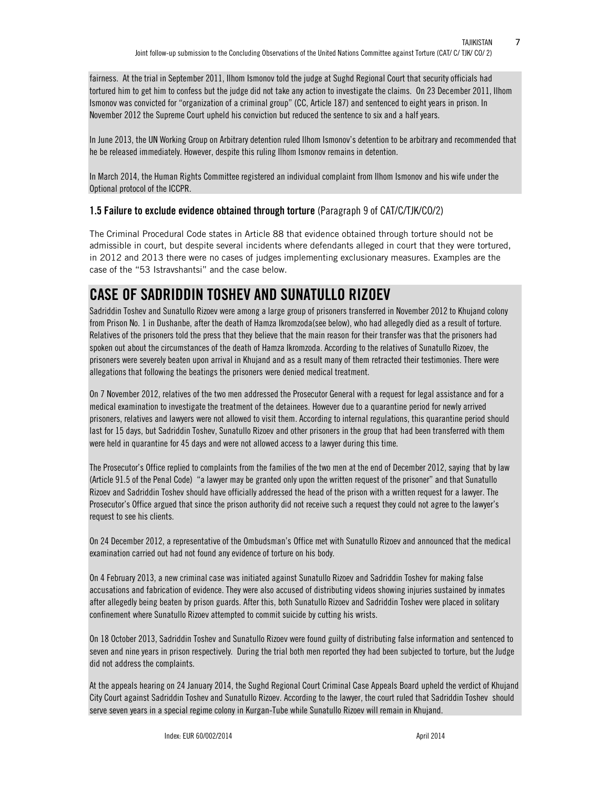fairness. At the trial in September 2011, Ilhom Ismonov told the judge at Sughd Regional Court that security officials had tortured him to get him to confess but the judge did not take any action to investigate the claims. On 23 December 2011, Ilhom Ismonov was convicted for "organization of a criminal group" (CC, Article 187) and sentenced to eight years in prison. In November 2012 the Supreme Court upheld his conviction but reduced the sentence to six and a half years.

In June 2013, the UN Working Group on Arbitrary detention ruled Ilhom Ismonov's detention to be arbitrary and recommended that he be released immediately. However, despite this ruling Ilhom Ismonov remains in detention.

In March 2014, the Human Rights Committee registered an individual complaint from Ilhom Ismonov and his wife under the Optional protocol of the ICCPR.

### **1.5 Failure to exclude evidence obtained through torture** (Paragraph 9 of CAT/C/TJK/CO/2)

The Criminal Procedural Code states in Article 88 that evidence obtained through torture should not be admissible in court, but despite several incidents where defendants alleged in court that they were tortured, in 2012 and 2013 there were no cases of judges implementing exclusionary measures. Examples are the case of the "53 Istravshantsi" and the case below.

# **CASE OF SADRIDDIN TOSHEV AND SUNATULLO RIZOEV**

Sadriddin Toshev and Sunatullo Rizoev were among a large group of prisoners transferred in November 2012 to Khujand colony from Prison No. 1 in Dushanbe, after the death of Hamza Ikromzoda(see below), who had allegedly died as a result of torture. Relatives of the prisoners told the press that they believe that the main reason for their transfer was that the prisoners had spoken out about the circumstances of the death of Hamza Ikromzoda. According to the relatives of Sunatullo Rizoev, the prisoners were severely beaten upon arrival in Khujand and as a result many of them retracted their testimonies. There were allegations that following the beatings the prisoners were denied medical treatment.

On 7 November 2012, relatives of the two men addressed the Prosecutor General with a request for legal assistance and for a medical examination to investigate the treatment of the detainees. However due to a quarantine period for newly arrived prisoners, relatives and lawyers were not allowed to visit them. According to internal regulations, this quarantine period should last for 15 days, but Sadriddin Toshev, Sunatullo Rizoev and other prisoners in the group that had been transferred with them were held in quarantine for 45 days and were not allowed access to a lawyer during this time.

The Prosecutor's Office replied to complaints from the families of the two men at the end of December 2012, saying that by law (Article 91.5 of the Penal Code) "a lawyer may be granted only upon the written request of the prisoner" and that Sunatullo Rizoev and Sadriddin Toshev should have officially addressed the head of the prison with a written request for a lawyer. The Prosecutor's Office argued that since the prison authority did not receive such a request they could not agree to the lawyer's request to see his clients.

On 24 December 2012, a representative of the Ombudsman's Office met with Sunatullo Rizoev and announced that the medical examination carried out had not found any evidence of torture on his body.

On 4 February 2013, a new criminal case was initiated against Sunatullo Rizoev and Sadriddin Toshev for making false accusations and fabrication of evidence. They were also accused of distributing videos showing injuries sustained by inmates after allegedly being beaten by prison guards. After this, both Sunatullo Rizoev and Sadriddin Toshev were placed in solitary confinement where Sunatullo Rizoev attempted to commit suicide by cutting his wrists.

On 18 October 2013, Sadriddin Toshev and Sunatullo Rizoev were found guilty of distributing false information and sentenced to seven and nine years in prison respectively. During the trial both men reported they had been subjected to torture, but the Judge did not address the complaints.

At the appeals hearing on 24 January 2014, the Sughd Regional Court Criminal Case Appeals Board upheld the verdict of Khujand City Court against Sadriddin Toshev and Sunatullo Rizoev. According to the lawyer, the court ruled that Sadriddin Toshev should serve seven years in a special regime colony in Kurgan-Tube while Sunatullo Rizoev will remain in Khujand.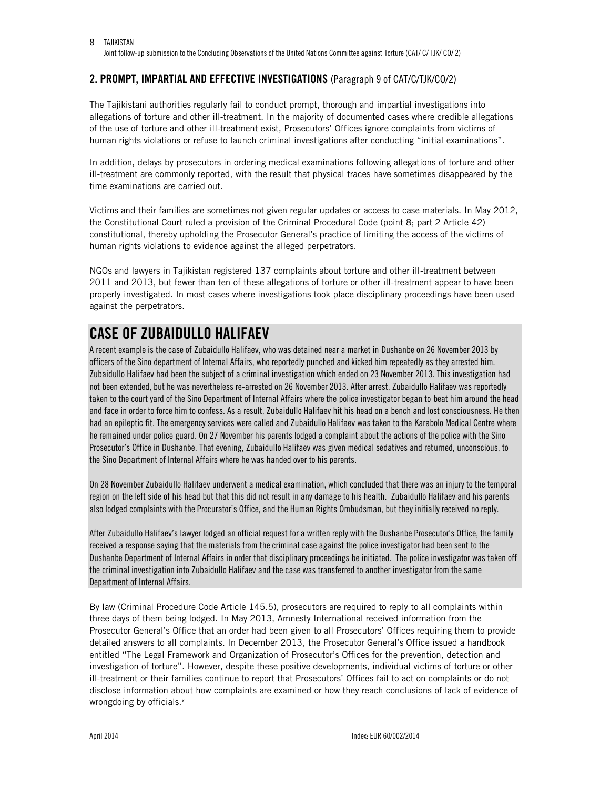### **2. PROMPT, IMPARTIAL AND EFFECTIVE INVESTIGATIONS** (Paragraph 9 of CAT/C/TJK/CO/2)

The Tajikistani authorities regularly fail to conduct prompt, thorough and impartial investigations into allegations of torture and other ill-treatment. In the majority of documented cases where credible allegations of the use of torture and other ill-treatment exist, Prosecutors' Offices ignore complaints from victims of human rights violations or refuse to launch criminal investigations after conducting "initial examinations".

In addition, delays by prosecutors in ordering medical examinations following allegations of torture and other ill-treatment are commonly reported, with the result that physical traces have sometimes disappeared by the time examinations are carried out.

Victims and their families are sometimes not given regular updates or access to case materials. In May 2012, the Constitutional Court ruled a provision of the Criminal Procedural Code (point 8; part 2 Article 42) constitutional, thereby upholding the Prosecutor General's practice of limiting the access of the victims of human rights violations to evidence against the alleged perpetrators.

NGOs and lawyers in Tajikistan registered 137 complaints about torture and other ill-treatment between 2011 and 2013, but fewer than ten of these allegations of torture or other ill-treatment appear to have been properly investigated. In most cases where investigations took place disciplinary proceedings have been used against the perpetrators.

# **CASE OF ZUBAIDULLO HALIFAEV**

A recent example is the case of Zubaidullo Halifaev, who was detained near a market in Dushanbe on 26 November 2013 by officers of the Sino department of Internal Affairs, who reportedly punched and kicked him repeatedly as they arrested him. Zubaidullo Halifaev had been the subject of a criminal investigation which ended on 23 November 2013. This investigation had not been extended, but he was nevertheless re-arrested on 26 November 2013. After arrest, Zubaidullo Halifaev was reportedly taken to the court yard of the Sino Department of Internal Affairs where the police investigator began to beat him around the head and face in order to force him to confess. As a result, Zubaidullo Halifaev hit his head on a bench and lost consciousness. He then had an epileptic fit. The emergency services were called and Zubaidullo Halifaev was taken to the Karabolo Medical Centre where he remained under police guard. On 27 November his parents lodged a complaint about the actions of the police with the Sino Prosecutor's Office in Dushanbe. That evening, Zubaidullo Halifaev was given medical sedatives and returned, unconscious, to the Sino Department of Internal Affairs where he was handed over to his parents.

On 28 November Zubaidullo Halifaev underwent a medical examination, which concluded that there was an injury to the temporal region on the left side of his head but that this did not result in any damage to his health. Zubaidullo Halifaev and his parents also lodged complaints with the Procurator's Office, and the Human Rights Ombudsman, but they initially received no reply.

After Zubaidullo Halifaev's lawyer lodged an official request for a written reply with the Dushanbe Prosecutor's Office, the family received a response saying that the materials from the criminal case against the police investigator had been sent to the Dushanbe Department of Internal Affairs in order that disciplinary proceedings be initiated. The police investigator was taken off the criminal investigation into Zubaidullo Halifaev and the case was transferred to another investigator from the same Department of Internal Affairs.

By law (Criminal Procedure Code Article 145.5), prosecutors are required to reply to all complaints within three days of them being lodged. In May 2013, Amnesty International received information from the Prosecutor General's Office that an order had been given to all Prosecutors' Offices requiring them to provide detailed answers to all complaints. In December 2013, the Prosecutor General's Office issued a handbook entitled "The Legal Framework and Organization of Prosecutor's Offices for the prevention, detection and investigation of torture". However, despite these positive developments, individual victims of torture or other ill-treatment or their families continue to report that Prosecutors' Offices fail to act on complaints or do not disclose information about how complaints are examined or how they reach conclusions of lack of evidence of wrongdoing by officials.<sup>x</sup>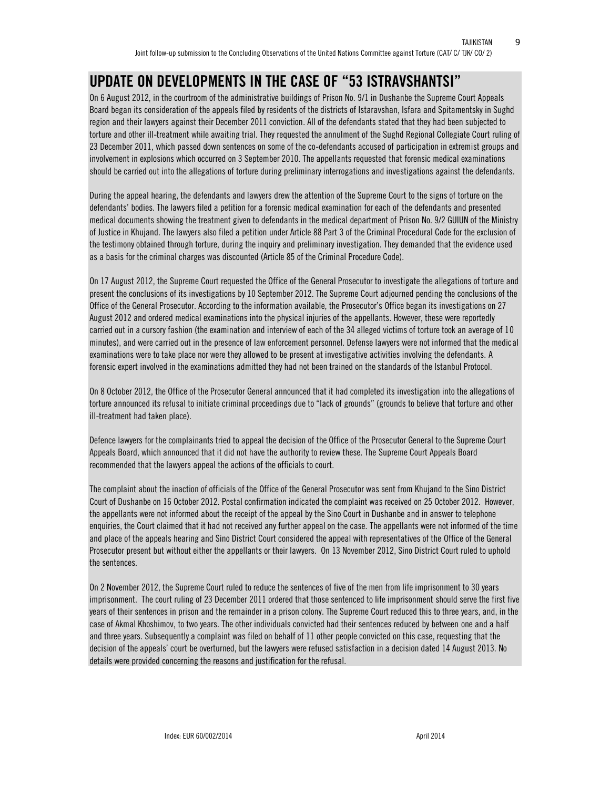# **UPDATE ON DEVELOPMENTS IN THE CASE OF "53 ISTRAVSHANTSI"**

On 6 August 2012, in the courtroom of the administrative buildings of Prison No. 9/1 in Dushanbe the Supreme Court Appeals Board began its consideration of the appeals filed by residents of the districts of Istaravshan, Isfara and Spitamentsky in Sughd region and their lawyers against their December 2011 conviction. All of the defendants stated that they had been subjected to torture and other ill-treatment while awaiting trial. They requested the annulment of the Sughd Regional Collegiate Court ruling of 23 December 2011, which passed down sentences on some of the co-defendants accused of participation in extremist groups and involvement in explosions which occurred on 3 September 2010. The appellants requested that forensic medical examinations should be carried out into the allegations of torture during preliminary interrogations and investigations against the defendants.

During the appeal hearing, the defendants and lawyers drew the attention of the Supreme Court to the signs of torture on the defendants' bodies. The lawyers filed a petition for a forensic medical examination for each of the defendants and presented medical documents showing the treatment given to defendants in the medical department of Prison No. 9/2 GUIUN of the Ministry of Justice in Khujand. The lawyers also filed a petition under Article 88 Part 3 of the Criminal Procedural Code for the exclusion of the testimony obtained through torture, during the inquiry and preliminary investigation. They demanded that the evidence used as a basis for the criminal charges was discounted (Article 85 of the Criminal Procedure Code).

On 17 August 2012, the Supreme Court requested the Office of the General Prosecutor to investigate the allegations of torture and present the conclusions of its investigations by 10 September 2012. The Supreme Court adjourned pending the conclusions of the Office of the General Prosecutor. According to the information available, the Prosecutor's Office began its investigations on 27 August 2012 and ordered medical examinations into the physical injuries of the appellants. However, these were reportedly carried out in a cursory fashion (the examination and interview of each of the 34 alleged victims of torture took an average of 10 minutes), and were carried out in the presence of law enforcement personnel. Defense lawyers were not informed that the medical examinations were to take place nor were they allowed to be present at investigative activities involving the defendants. A forensic expert involved in the examinations admitted they had not been trained on the standards of the Istanbul Protocol.

On 8 October 2012, the Office of the Prosecutor General announced that it had completed its investigation into the allegations of torture announced its refusal to initiate criminal proceedings due to "lack of grounds" (grounds to believe that torture and other ill-treatment had taken place).

Defence lawyers for the complainants tried to appeal the decision of the Office of the Prosecutor General to the Supreme Court Appeals Board, which announced that it did not have the authority to review these. The Supreme Court Appeals Board recommended that the lawyers appeal the actions of the officials to court.

The complaint about the inaction of officials of the Office of the General Prosecutor was sent from Khujand to the Sino District Court of Dushanbe on 16 October 2012. Postal confirmation indicated the complaint was received on 25 October 2012. However, the appellants were not informed about the receipt of the appeal by the Sino Court in Dushanbe and in answer to telephone enquiries, the Court claimed that it had not received any further appeal on the case. The appellants were not informed of the time and place of the appeals hearing and Sino District Court considered the appeal with representatives of the Office of the General Prosecutor present but without either the appellants or their lawyers. On 13 November 2012, Sino District Court ruled to uphold the sentences.

On 2 November 2012, the Supreme Court ruled to reduce the sentences of five of the men from life imprisonment to 30 years imprisonment. The court ruling of 23 December 2011 ordered that those sentenced to life imprisonment should serve the first five years of their sentences in prison and the remainder in a prison colony. The Supreme Court reduced this to three years, and, in the case of Akmal Khoshimov, to two years. The other individuals convicted had their sentences reduced by between one and a half and three years. Subsequently a complaint was filed on behalf of 11 other people convicted on this case, requesting that the decision of the appeals' court be overturned, but the lawyers were refused satisfaction in a decision dated 14 August 2013. No details were provided concerning the reasons and justification for the refusal.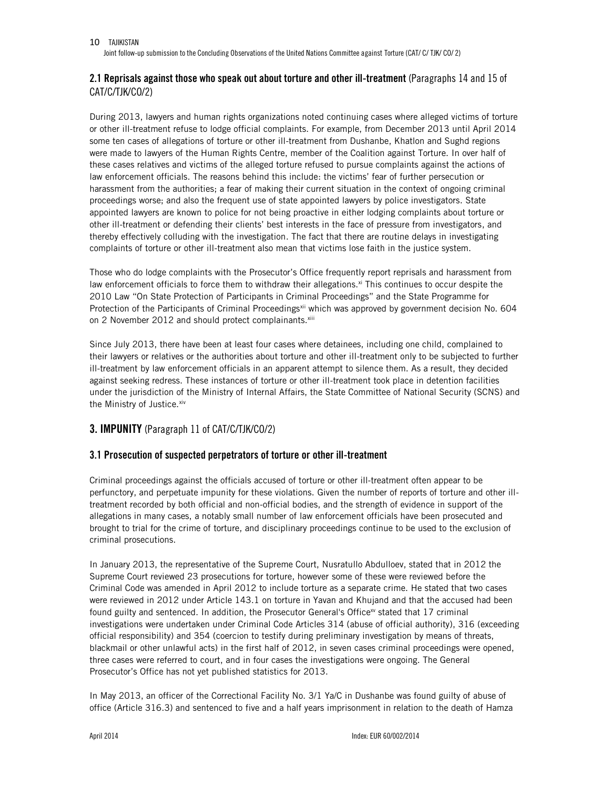Joint follow-up submission to the Concluding Observations of the United Nations Committee against Torture (CAT/ C/ TJK/ CO/ 2)

### **2.1 Reprisals against those who speak out about torture and other ill-treatment** (Paragraphs 14 and 15 of CAT/C/TJK/CO/2)

During 2013, lawyers and human rights organizations noted continuing cases where alleged victims of torture or other ill-treatment refuse to lodge official complaints. For example, from December 2013 until April 2014 some ten cases of allegations of torture or other ill-treatment from Dushanbe, Khatlon and Sughd regions were made to lawyers of the Human Rights Centre, member of the Coalition against Torture. In over half of these cases relatives and victims of the alleged torture refused to pursue complaints against the actions of law enforcement officials. The reasons behind this include: the victims' fear of further persecution or harassment from the authorities; a fear of making their current situation in the context of ongoing criminal proceedings worse; and also the frequent use of state appointed lawyers by police investigators. State appointed lawyers are known to police for not being proactive in either lodging complaints about torture or other ill-treatment or defending their clients' best interests in the face of pressure from investigators, and thereby effectively colluding with the investigation. The fact that there are routine delays in investigating complaints of torture or other ill-treatment also mean that victims lose faith in the justice system.

Those who do lodge complaints with the Prosecutor's Office frequently report reprisals and harassment from law enforcement officials to force them to withdraw their allegations.<sup>xi</sup> This continues to occur despite the 2010 Law "On State Protection of Participants in Criminal Proceedings" and the State Programme for Protection of the Participants of Criminal Proceedings<sup>xii</sup> which was approved by government decision No. 604 on 2 November 2012 and should protect complainants. Xiii

Since July 2013, there have been at least four cases where detainees, including one child, complained to their lawyers or relatives or the authorities about torture and other ill-treatment only to be subjected to further ill-treatment by law enforcement officials in an apparent attempt to silence them. As a result, they decided against seeking redress. These instances of torture or other ill-treatment took place in detention facilities under the jurisdiction of the Ministry of Internal Affairs, the State Committee of National Security (SCNS) and the Ministry of Justice. xiv

### **3. IMPUNITY** (Paragraph 11 of CAT/C/TJK/CO/2)

### **3.1 Prosecution of suspected perpetrators of torture or other ill-treatment**

Criminal proceedings against the officials accused of torture or other ill-treatment often appear to be perfunctory, and perpetuate impunity for these violations. Given the number of reports of torture and other illtreatment recorded by both official and non-official bodies, and the strength of evidence in support of the allegations in many cases, a notably small number of law enforcement officials have been prosecuted and brought to trial for the crime of torture, and disciplinary proceedings continue to be used to the exclusion of criminal prosecutions.

In January 2013, the representative of the Supreme Court, Nusratullo Abdulloev, stated that in 2012 the Supreme Court reviewed 23 prosecutions for torture, however some of these were reviewed before the Criminal Code was amended in April 2012 to include torture as a separate crime. He stated that two cases were reviewed in 2012 under Article 143.1 on torture in Yavan and Khujand and that the accused had been found guilty and sentenced. In addition, the Prosecutor General's Office<sup>xv</sup> stated that 17 criminal investigations were undertaken under Criminal Code Articles 314 (abuse of official authority), 316 (exceeding official responsibility) and 354 (coercion to testify during preliminary investigation by means of threats, blackmail or other unlawful acts) in the first half of 2012, in seven cases criminal proceedings were opened, three cases were referred to court, and in four cases the investigations were ongoing. The General Prosecutor's Office has not yet published statistics for 2013.

In May 2013, an officer of the Correctional Facility No. 3/1 Ya/C in Dushanbe was found guilty of abuse of office (Article 316.3) and sentenced to five and a half years imprisonment in relation to the death of Hamza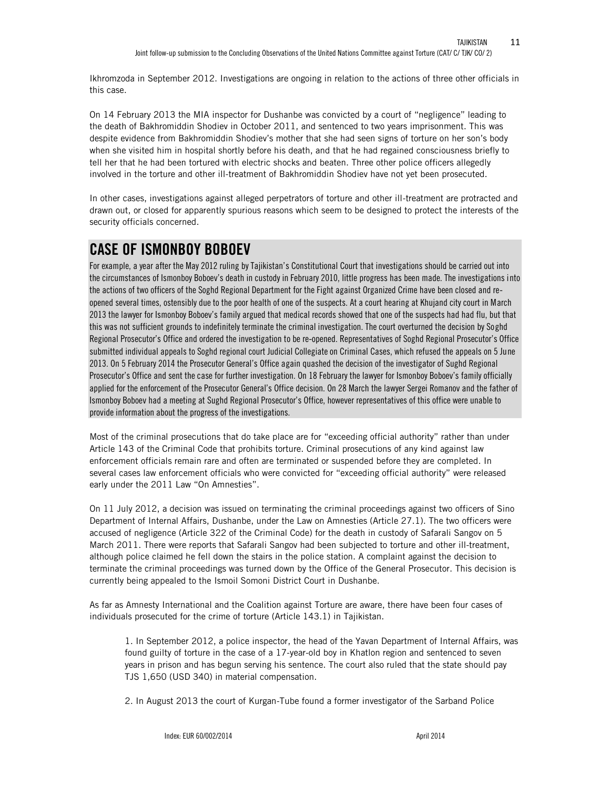Ikhromzoda in September 2012. Investigations are ongoing in relation to the actions of three other officials in this case.

On 14 February 2013 the MIA inspector for Dushanbe was convicted by a court of "negligence" leading to the death of Bakhromiddin Shodiev in October 2011, and sentenced to two years imprisonment. This was despite evidence from Bakhromiddin Shodiev's mother that she had seen signs of torture on her son's body when she visited him in hospital shortly before his death, and that he had regained consciousness briefly to tell her that he had been tortured with electric shocks and beaten. Three other police officers allegedly involved in the torture and other ill-treatment of Bakhromiddin Shodiev have not yet been prosecuted.

In other cases, investigations against alleged perpetrators of torture and other ill-treatment are protracted and drawn out, or closed for apparently spurious reasons which seem to be designed to protect the interests of the security officials concerned.

# **CASE OF ISMONBOY BOBOEV**

For example, a year after the May 2012 ruling by Tajikistan's Constitutional Court that investigations should be carried out into the circumstances of Ismonboy Boboev's death in custody in February 2010, little progress has been made. The investigations into the actions of two officers of the Soghd Regional Department for the Fight against Organized Crime have been closed and reopened several times, ostensibly due to the poor health of one of the suspects. At a court hearing at Khujand city court in March 2013 the lawyer for Ismonboy Boboev's family argued that medical records showed that one of the suspects had had flu, but that this was not sufficient grounds to indefinitely terminate the criminal investigation. The court overturned the decision by Soghd Regional Prosecutor's Office and ordered the investigation to be re-opened. Representatives of Soghd Regional Prosecutor's Office submitted individual appeals to Soghd regional court Judicial Collegiate on Criminal Cases, which refused the appeals on 5 June 2013. On 5 February 2014 the Prosecutor General's Office again quashed the decision of the investigator of Sughd Regional Prosecutor's Office and sent the case for further investigation. On 18 February the lawyer for Ismonboy Boboev's family officially applied for the enforcement of the Prosecutor General's Office decision. On 28 March the lawyer Sergei Romanov and the father of Ismonboy Boboev had a meeting at Sughd Regional Prosecutor's Office, however representatives of this office were unable to provide information about the progress of the investigations.

Most of the criminal prosecutions that do take place are for "exceeding official authority" rather than under Article 143 of the Criminal Code that prohibits torture. Criminal prosecutions of any kind against law enforcement officials remain rare and often are terminated or suspended before they are completed. In several cases law enforcement officials who were convicted for "exceeding official authority" were released early under the 2011 Law "On Amnesties".

On 11 July 2012, a decision was issued on terminating the criminal proceedings against two officers of Sino Department of Internal Affairs, Dushanbe, under the Law on Amnesties (Article 27.1). The two officers were accused of negligence (Article 322 of the Criminal Code) for the death in custody of Safarali Sangov on 5 March 2011. There were reports that Safarali Sangov had been subjected to torture and other ill-treatment, although police claimed he fell down the stairs in the police station. A complaint against the decision to terminate the criminal proceedings was turned down by the Office of the General Prosecutor. This decision is currently being appealed to the Ismoil Somoni District Court in Dushanbe.

As far as Amnesty International and the Coalition against Torture are aware, there have been four cases of individuals prosecuted for the crime of torture (Article 143.1) in Tajikistan.

1. In September 2012, a police inspector, the head of the Yavan Department of Internal Affairs, was found guilty of torture in the case of a 17-year-old boy in Khatlon region and sentenced to seven years in prison and has begun serving his sentence. The court also ruled that the state should pay TJS 1,650 (USD 340) in material compensation.

2. In August 2013 the court of Kurgan-Tube found a former investigator of the Sarband Police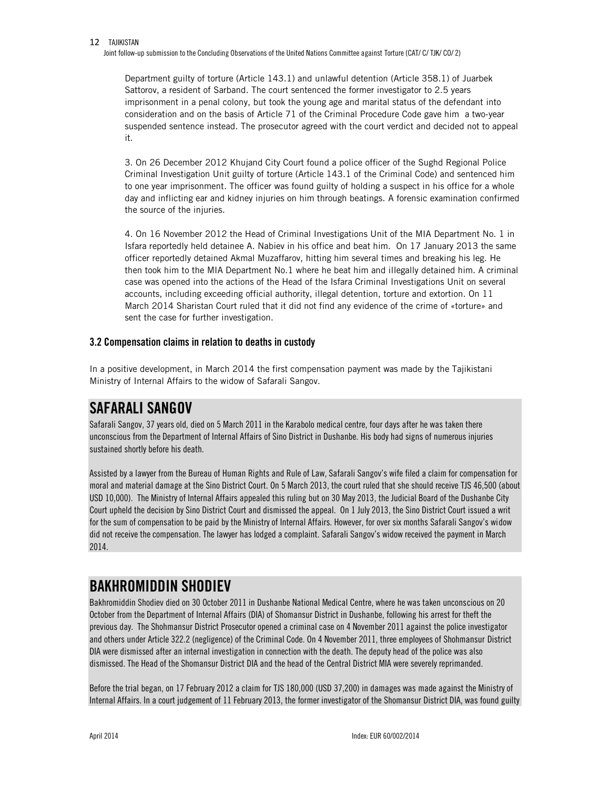Joint follow-up submission to the Concluding Observations of the United Nations Committee against Torture (CAT/ C/ TJK/ CO/ 2)

Department guilty of torture (Article 143.1) and unlawful detention (Article 358.1) of Juarbek Sattorov, a resident of Sarband. The court sentenced the former investigator to 2.5 years imprisonment in a penal colony, but took the young age and marital status of the defendant into consideration and on the basis of Article 71 of the Criminal Procedure Code gave him a two-year suspended sentence instead. The prosecutor agreed with the court verdict and decided not to appeal it.

3. On 26 December 2012 Khujand City Court found a police officer of the Sughd Regional Police Criminal Investigation Unit guilty of torture (Article 143.1 of the Criminal Code) and sentenced him to one year imprisonment. The officer was found guilty of holding a suspect in his office for a whole day and inflicting ear and kidney injuries on him through beatings. A forensic examination confirmed the source of the injuries.

4. On 16 November 2012 the Head of Criminal Investigations Unit of the MIA Department No. 1 in Isfara reportedly held detainee A. Nabiev in his office and beat him. On 17 January 2013 the same officer reportedly detained Akmal Muzaffarov, hitting him several times and breaking his leg. He then took him to the MIA Department No.1 where he beat him and illegally detained him. A criminal case was opened into the actions of the Head of the Isfara Criminal Investigations Unit on several accounts, including exceeding official authority, illegal detention, torture and extortion. On 11 March 2014 Sharistan Court ruled that it did not find any evidence of the crime of «torture» and sent the case for further investigation.

### **3.2 Compensation claims in relation to deaths in custody**

In a positive development, in March 2014 the first compensation payment was made by the Tajikistani Ministry of Internal Affairs to the widow of Safarali Sangov.

## **SAFARALI SANGOV**

Safarali Sangov, 37 years old, died on 5 March 2011 in the Karabolo medical centre, four days after he was taken there unconscious from the Department of Internal Affairs of Sino District in Dushanbe. His body had signs of numerous injuries sustained shortly before his death.

Assisted by a lawyer from the Bureau of Human Rights and Rule of Law, Safarali Sangov's wife filed a claim for compensation for moral and material damage at the Sino District Court. On 5 March 2013, the court ruled that she should receive TJS 46,500 (about USD 10,000). The Ministry of Internal Affairs appealed this ruling but on 30 May 2013, the Judicial Board of the Dushanbe City Court upheld the decision by Sino District Court and dismissed the appeal. On 1 July 2013, the Sino District Court issued a writ for the sum of compensation to be paid by the Ministry of Internal Affairs. However, for over six months Safarali Sangov's widow did not receive the compensation. The lawyer has lodged a complaint. Safarali Sangov's widow received the payment in March 2014.

# **BAKHROMIDDIN SHODIEV**

Bakhromiddin Shodiev died on 30 October 2011 in Dushanbe National Medical Centre, where he was taken unconscious on 20 October from the Department of Internal Affairs (DIA) of Shomansur District in Dushanbe, following his arrest for theft the previous day. The Shohmansur District Prosecutor opened a criminal case on 4 November 2011 against the police investigator and others under Article 322.2 (negligence) of the Criminal Code. On 4 November 2011, three employees of Shohmansur District DIA were dismissed after an internal investigation in connection with the death. The deputy head of the police was also dismissed. The Head of the Shomansur District DIA and the head of the Central District MIA were severely reprimanded.

Before the trial began, on 17 February 2012 a claim for TJS 180,000 (USD 37,200) in damages was made against the Ministry of Internal Affairs. In a court judgement of 11 February 2013, the former investigator of the Shomansur District DIA, was found guilty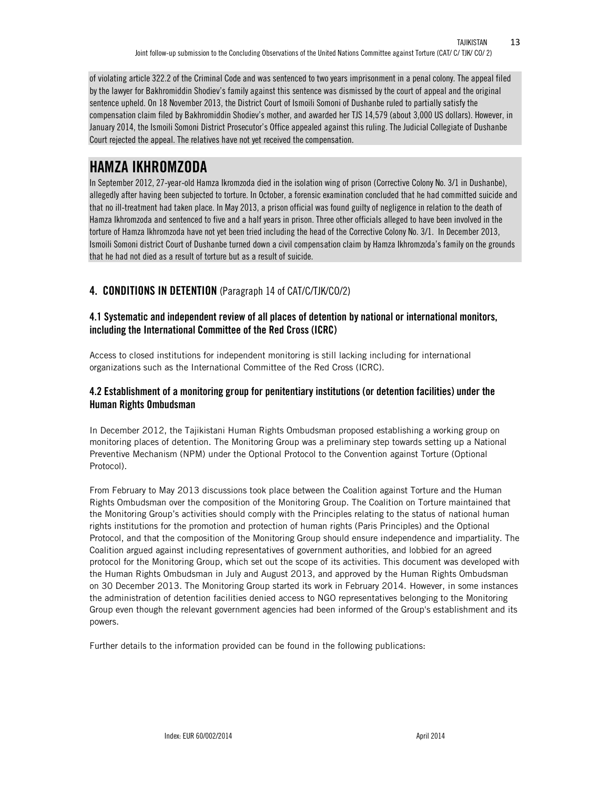of violating article 322.2 of the Criminal Code and was sentenced to two years imprisonment in a penal colony. The appeal filed by the lawyer for Bakhromiddin Shodiev's family against this sentence was dismissed by the court of appeal and the original sentence upheld. On 18 November 2013, the District Court of Ismoili Somoni of Dushanbe ruled to partially satisfy the compensation claim filed by Bakhromiddin Shodiev's mother, and awarded her TJS 14,579 (about 3,000 US dollars). However, in January 2014, the Ismoili Somoni District Prosecutor's Office appealed against this ruling. The Judicial Collegiate of Dushanbe Court rejected the appeal. The relatives have not yet received the compensation.

# **HAMZA IKHROMZODA**

In September 2012, 27-year-old Hamza Ikromzoda died in the isolation wing of prison (Corrective Colony No. 3/1 in Dushanbe), allegedly after having been subjected to torture. In October, a forensic examination concluded that he had committed suicide and that no ill-treatment had taken place. In May 2013, a prison official was found guilty of negligence in relation to the death of Hamza Ikhromzoda and sentenced to five and a half years in prison. Three other officials alleged to have been involved in the torture of Hamza Ikhromzoda have not yet been tried including the head of the Corrective Colony No. 3/1. In December 2013, Ismoili Somoni district Court of Dushanbe turned down a civil compensation claim by Hamza Ikhromzoda's family on the grounds that he had not died as a result of torture but as a result of suicide.

### **4. CONDITIONS IN DETENTION** (Paragraph 14 of CAT/C/TJK/CO/2)

### **4.1 Systematic and independent review of all places of detention by national or international monitors, including the International Committee of the Red Cross (ICRC)**

Access to closed institutions for independent monitoring is still lacking including for international organizations such as the International Committee of the Red Cross (ICRC).

### **4.2 Establishment of a monitoring group for penitentiary institutions (or detention facilities) under the Human Rights Ombudsman**

In December 2012, the Tajikistani Human Rights Ombudsman proposed establishing a working group on monitoring places of detention. The Monitoring Group was a preliminary step towards setting up a National Preventive Mechanism (NPM) under the Optional Protocol to the Convention against Torture (Optional Protocol).

From February to May 2013 discussions took place between the Coalition against Torture and the Human Rights Ombudsman over the composition of the Monitoring Group. The Coalition on Torture maintained that the Monitoring Group's activities should comply with the Principles relating to the status of national human rights institutions for the promotion and protection of human rights (Paris Principles) and the Optional Protocol, and that the composition of the Monitoring Group should ensure independence and impartiality. The Coalition argued against including representatives of government authorities, and lobbied for an agreed protocol for the Monitoring Group, which set out the scope of its activities. This document was developed with the Human Rights Ombudsman in July and August 2013, and approved by the Human Rights Ombudsman on 30 December 2013. The Monitoring Group started its work in February 2014. However, in some instances the administration of detention facilities denied access to NGO representatives belonging to the Monitoring Group even though the relevant government agencies had been informed of the Group's establishment and its powers.

Further details to the information provided can be found in the following publications: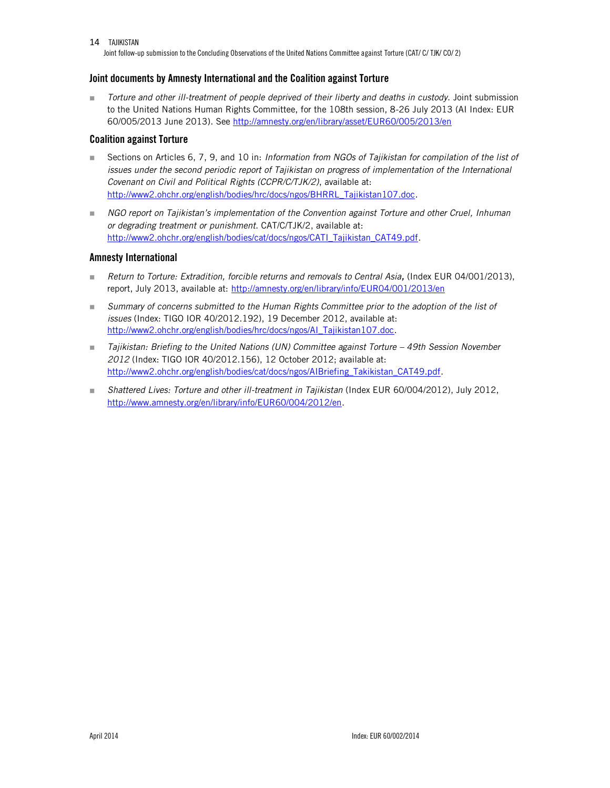Joint follow-up submission to the Concluding Observations of the United Nations Committee against Torture (CAT/ C/ TJK/ CO/ 2)

### **Joint documents by Amnesty International and the Coalition against Torture**

 *Torture and other ill-treatment of people deprived of their liberty and deaths in custody.* Joint submission to the United Nations Human Rights Committee, for the 108th session, 8-26 July 2013 (AI Index: EUR 60/005/2013 June 2013). See<http://amnesty.org/en/library/asset/EUR60/005/2013/en>

### **Coalition against Torture**

- Sections on Articles 6, 7, 9, and 10 in: *Information from NGOs of Tajikistan for compilation of the list of issues under the second periodic report of Tajikistan on progress of implementation of the International Covenant on Civil and Political Rights (CCPR/C/TJK/2)*, available at: [http://www2.ohchr.org/english/bodies/hrc/docs/ngos/BHRRL\\_Tajikistan107.doc.](http://www2.ohchr.org/english/bodies/hrc/docs/ngos/BHRRL_Tajikistan107.doc)
- **NGO report on Tajikistan's implementation of the Convention against Torture and other Cruel, Inhuman** *or degrading treatment or punishment*. CAT/C/TJK/2, available at: [http://www2.ohchr.org/english/bodies/cat/docs/ngos/CATI\\_Tajikistan\\_CAT49.pdf.](http://www2.ohchr.org/english/bodies/cat/docs/ngos/CATI_Tajikistan_CAT49.pdf)

### **Amnesty International**

- *Return to Torture: Extradition, forcible returns and removals to Central Asia,* (Index EUR 04/001/2013), report, July 2013, available at:<http://amnesty.org/en/library/info/EUR04/001/2013/en>
- **Bummary of concerns submitted to the Human Rights Committee prior to the adoption of the list of** *issues* (Index: TIGO IOR 40/2012.192), 19 December 2012, available at: [http://www2.ohchr.org/english/bodies/hrc/docs/ngos/AI\\_Tajikistan107.doc.](http://www2.ohchr.org/english/bodies/hrc/docs/ngos/AI_Tajikistan107.doc)
- Tajikistan: Briefing to the United Nations (UN) Committee against Torture 49th Session November *2012* (Index: TIGO IOR 40/2012.156), 12 October 2012; available at: [http://www2.ohchr.org/english/bodies/cat/docs/ngos/AIBriefing\\_Takikistan\\_CAT49.pdf.](http://www2.ohchr.org/english/bodies/cat/docs/ngos/AIBriefing_Takikistan_CAT49.pdf)
- *Shattered Lives: Torture and other ill-treatment in Tajikistan* (Index EUR 60/004/2012), July 2012, [http://www.amnesty.org/en/library/info/EUR60/004/2012/en.](http://www.amnesty.org/en/library/info/EUR60/004/2012/en)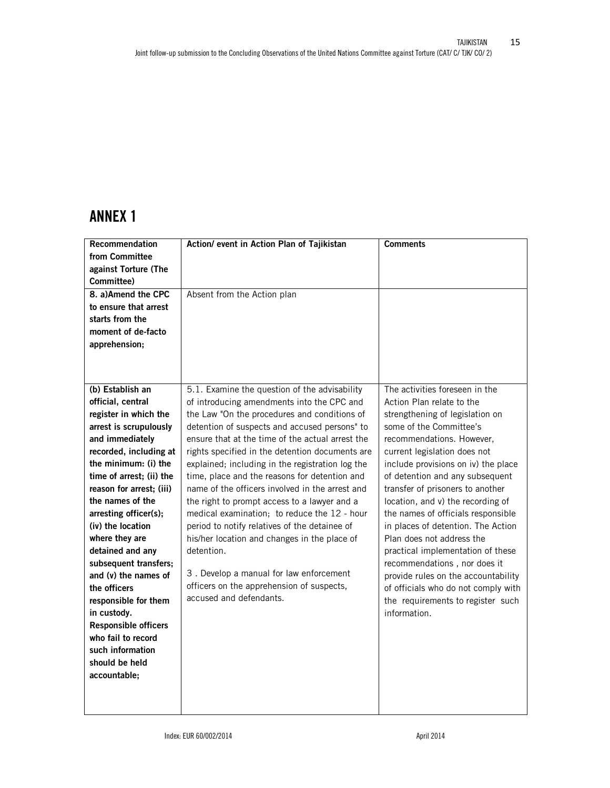# **ANNEX 1**

| Recommendation              | Action/ event in Action Plan of Tajikistan       | <b>Comments</b>                     |
|-----------------------------|--------------------------------------------------|-------------------------------------|
| from Committee              |                                                  |                                     |
| against Torture (The        |                                                  |                                     |
| Committee)                  |                                                  |                                     |
| 8. a)Amend the CPC          | Absent from the Action plan                      |                                     |
| to ensure that arrest       |                                                  |                                     |
| starts from the             |                                                  |                                     |
| moment of de-facto          |                                                  |                                     |
| apprehension;               |                                                  |                                     |
|                             |                                                  |                                     |
|                             |                                                  |                                     |
| (b) Establish an            | 5.1. Examine the question of the advisability    | The activities foreseen in the      |
| official, central           | of introducing amendments into the CPC and       | Action Plan relate to the           |
| register in which the       | the Law "On the procedures and conditions of     | strengthening of legislation on     |
| arrest is scrupulously      | detention of suspects and accused persons" to    | some of the Committee's             |
| and immediately             | ensure that at the time of the actual arrest the | recommendations. However,           |
| recorded, including at      | rights specified in the detention documents are  | current legislation does not        |
| the minimum: (i) the        | explained; including in the registration log the | include provisions on iv) the place |
| time of arrest; (ii) the    | time, place and the reasons for detention and    | of detention and any subsequent     |
| reason for arrest; (iii)    | name of the officers involved in the arrest and  | transfer of prisoners to another    |
| the names of the            | the right to prompt access to a lawyer and a     | location, and v) the recording of   |
| arresting officer(s);       | medical examination; to reduce the 12 - hour     | the names of officials responsible  |
| (iv) the location           | period to notify relatives of the detainee of    | in places of detention. The Action  |
| where they are              | his/her location and changes in the place of     | Plan does not address the           |
| detained and any            | detention.                                       | practical implementation of these   |
| subsequent transfers;       |                                                  | recommendations, nor does it        |
| and (v) the names of        | 3. Develop a manual for law enforcement          | provide rules on the accountability |
| the officers                | officers on the apprehension of suspects,        | of officials who do not comply with |
| responsible for them        | accused and defendants.                          | the requirements to register such   |
| in custody.                 |                                                  | information.                        |
| <b>Responsible officers</b> |                                                  |                                     |
| who fail to record          |                                                  |                                     |
| such information            |                                                  |                                     |
| should be held              |                                                  |                                     |
| accountable;                |                                                  |                                     |
|                             |                                                  |                                     |
|                             |                                                  |                                     |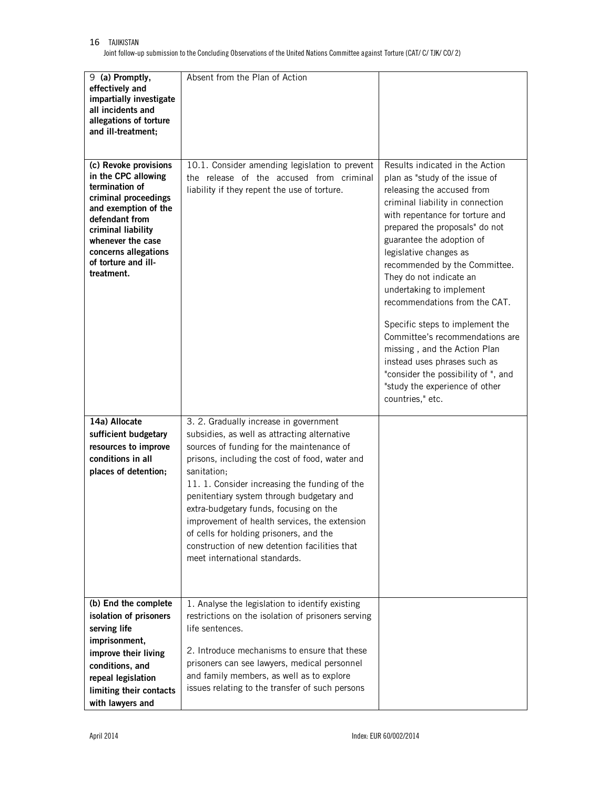Joint follow-up submission to the Concluding Observations of the United Nations Committee against Torture (CAT/ C/ TJK/ CO/ 2)

| 9 (a) Promptly,<br>effectively and<br>impartially investigate<br>all incidents and<br>allegations of torture<br>and ill-treatment;                                                                                                       | Absent from the Plan of Action                                                                                                                                                                                                                                                                                                                                                                                                                                                                                             |                                                                                                                                                                                                                                                                                                                                                                                                                                                                                                                                                                                                                             |
|------------------------------------------------------------------------------------------------------------------------------------------------------------------------------------------------------------------------------------------|----------------------------------------------------------------------------------------------------------------------------------------------------------------------------------------------------------------------------------------------------------------------------------------------------------------------------------------------------------------------------------------------------------------------------------------------------------------------------------------------------------------------------|-----------------------------------------------------------------------------------------------------------------------------------------------------------------------------------------------------------------------------------------------------------------------------------------------------------------------------------------------------------------------------------------------------------------------------------------------------------------------------------------------------------------------------------------------------------------------------------------------------------------------------|
| (c) Revoke provisions<br>in the CPC allowing<br>termination of<br>criminal proceedings<br>and exemption of the<br>defendant from<br>criminal liability<br>whenever the case<br>concerns allegations<br>of torture and ill-<br>treatment. | 10.1. Consider amending legislation to prevent<br>the release of the accused from criminal<br>liability if they repent the use of torture.                                                                                                                                                                                                                                                                                                                                                                                 | Results indicated in the Action<br>plan as "study of the issue of<br>releasing the accused from<br>criminal liability in connection<br>with repentance for torture and<br>prepared the proposals" do not<br>guarantee the adoption of<br>legislative changes as<br>recommended by the Committee.<br>They do not indicate an<br>undertaking to implement<br>recommendations from the CAT.<br>Specific steps to implement the<br>Committee's recommendations are<br>missing, and the Action Plan<br>instead uses phrases such as<br>"consider the possibility of ", and<br>"study the experience of other<br>countries," etc. |
| 14a) Allocate<br>sufficient budgetary<br>resources to improve<br>conditions in all<br>places of detention;                                                                                                                               | 3. 2. Gradually increase in government<br>subsidies, as well as attracting alternative<br>sources of funding for the maintenance of<br>prisons, including the cost of food, water and<br>sanitation;<br>11. 1. Consider increasing the funding of the<br>penitentiary system through budgetary and<br>extra-budgetary funds, focusing on the<br>improvement of health services, the extension<br>of cells for holding prisoners, and the<br>construction of new detention facilities that<br>meet international standards. |                                                                                                                                                                                                                                                                                                                                                                                                                                                                                                                                                                                                                             |
| (b) End the complete<br>isolation of prisoners<br>serving life<br>imprisonment,<br>improve their living<br>conditions, and<br>repeal legislation<br>limiting their contacts<br>with lawyers and                                          | 1. Analyse the legislation to identify existing<br>restrictions on the isolation of prisoners serving<br>life sentences.<br>2. Introduce mechanisms to ensure that these<br>prisoners can see lawyers, medical personnel<br>and family members, as well as to explore<br>issues relating to the transfer of such persons                                                                                                                                                                                                   |                                                                                                                                                                                                                                                                                                                                                                                                                                                                                                                                                                                                                             |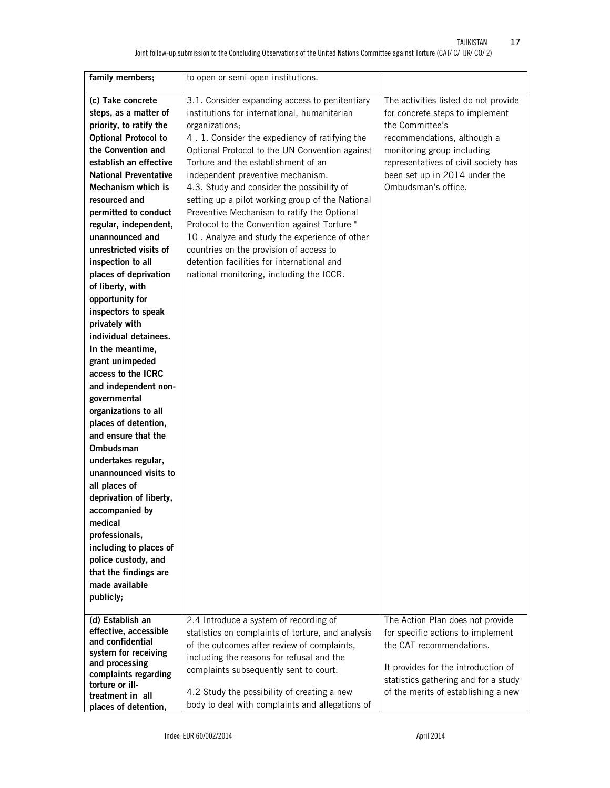| family members;                          | to open or semi-open institutions.                |                                      |
|------------------------------------------|---------------------------------------------------|--------------------------------------|
| (c) Take concrete                        | 3.1. Consider expanding access to penitentiary    | The activities listed do not provide |
| steps, as a matter of                    | institutions for international, humanitarian      | for concrete steps to implement      |
| priority, to ratify the                  | organizations;                                    | the Committee's                      |
| <b>Optional Protocol to</b>              | 4.1. Consider the expediency of ratifying the     | recommendations, although a          |
| the Convention and                       | Optional Protocol to the UN Convention against    | monitoring group including           |
| establish an effective                   | Torture and the establishment of an               | representatives of civil society has |
| <b>National Preventative</b>             | independent preventive mechanism.                 | been set up in 2014 under the        |
| Mechanism which is                       | 4.3. Study and consider the possibility of        | Ombudsman's office.                  |
| resourced and                            | setting up a pilot working group of the National  |                                      |
| permitted to conduct                     | Preventive Mechanism to ratify the Optional       |                                      |
| regular, independent,                    | Protocol to the Convention against Torture "      |                                      |
| unannounced and                          | 10. Analyze and study the experience of other     |                                      |
| unrestricted visits of                   | countries on the provision of access to           |                                      |
| inspection to all                        | detention facilities for international and        |                                      |
| places of deprivation                    | national monitoring, including the ICCR.          |                                      |
| of liberty, with                         |                                                   |                                      |
| opportunity for                          |                                                   |                                      |
| inspectors to speak                      |                                                   |                                      |
| privately with                           |                                                   |                                      |
| individual detainees.                    |                                                   |                                      |
| In the meantime,                         |                                                   |                                      |
| grant unimpeded                          |                                                   |                                      |
| access to the ICRC                       |                                                   |                                      |
| and independent non-                     |                                                   |                                      |
| governmental                             |                                                   |                                      |
| organizations to all                     |                                                   |                                      |
| places of detention,                     |                                                   |                                      |
| and ensure that the                      |                                                   |                                      |
| Ombudsman                                |                                                   |                                      |
| undertakes regular,                      |                                                   |                                      |
| unannounced visits to                    |                                                   |                                      |
| all places of                            |                                                   |                                      |
| deprivation of liberty,                  |                                                   |                                      |
| accompanied by                           |                                                   |                                      |
| medical                                  |                                                   |                                      |
| professionals,                           |                                                   |                                      |
| including to places of                   |                                                   |                                      |
| police custody, and                      |                                                   |                                      |
| that the findings are                    |                                                   |                                      |
| made available                           |                                                   |                                      |
| publicly;                                |                                                   |                                      |
|                                          |                                                   |                                      |
| (d) Establish an                         | 2.4 Introduce a system of recording of            | The Action Plan does not provide     |
| effective, accessible                    | statistics on complaints of torture, and analysis | for specific actions to implement    |
| and confidential<br>system for receiving | of the outcomes after review of complaints,       | the CAT recommendations.             |
| and processing                           | including the reasons for refusal and the         |                                      |
| complaints regarding                     | complaints subsequently sent to court.            | It provides for the introduction of  |
| torture or ill-                          |                                                   | statistics gathering and for a study |
| treatment in all                         | 4.2 Study the possibility of creating a new       | of the merits of establishing a new  |
| places of detention,                     | body to deal with complaints and allegations of   |                                      |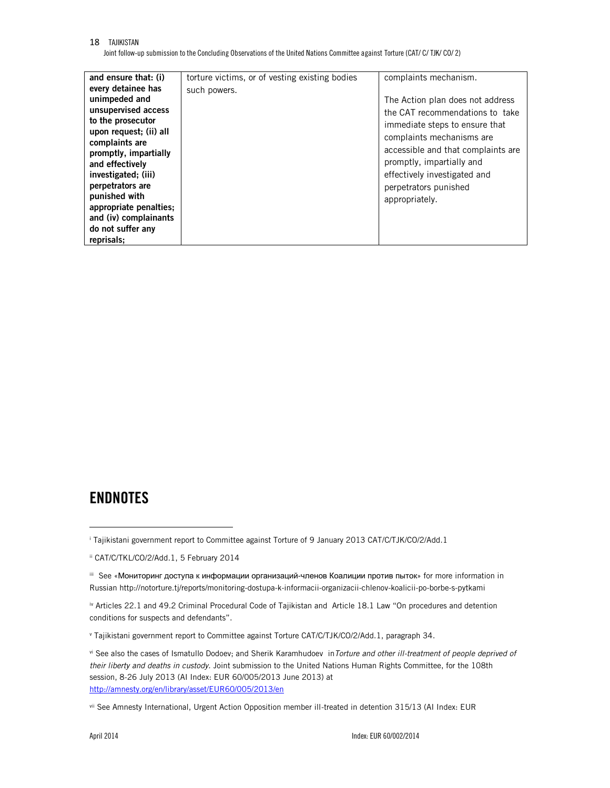Joint follow-up submission to the Concluding Observations of the United Nations Committee against Torture (CAT/ C/ TJK/ CO/ 2)

| and ensure that: (i)   | torture victims, or of vesting existing bodies | complaints mechanism.              |
|------------------------|------------------------------------------------|------------------------------------|
| every detainee has     | such powers.                                   |                                    |
| unimpeded and          |                                                | The Action plan does not address   |
| unsupervised access    |                                                | the CAT recommendations to take    |
| to the prosecutor      |                                                | immediate steps to ensure that     |
| upon request; (ii) all |                                                |                                    |
| complaints are         |                                                | complaints mechanisms are          |
| promptly, impartially  |                                                | accessible and that complaints are |
| and effectively        |                                                | promptly, impartially and          |
| investigated; (iii)    |                                                | effectively investigated and       |
| perpetrators are       |                                                | perpetrators punished              |
| punished with          |                                                | appropriately.                     |
| appropriate penalties; |                                                |                                    |
| and (iv) complainants  |                                                |                                    |
| do not suffer any      |                                                |                                    |
| reprisals:             |                                                |                                    |

# **ENDNOTES**

 $\ddot{\phantom{a}}$ 

<sup>i</sup> Tajikistani government report to Committee against Torture of 9 January 2013 CAT/C/TJK/CO/2/Add.1

ii CAT/C/TKL/CO/2/Add.1, 5 February 2014

iii See «Мониторинг доступа к информации организаций-членов Коалиции против пыток» for more information in Russian http://notorture.tj/reports/monitoring-dostupa-k-informacii-organizacii-chlenov-koalicii-po-borbe-s-pytkami

iv Articles 22.1 and 49.2 Criminal Procedural Code of Tajikistan and Article 18.1 Law "On procedures and detention conditions for suspects and defendants".

<sup>v</sup> Tajikistani government report to Committee against Torture CAT/C/TJK/CO/2/Add.1, paragraph 34.

vi See also the cases of Ismatullo Dodoev; and Sherik Karamhudoev in*Torture and other ill-treatment of people deprived of their liberty and deaths in custody.* Joint submission to the United Nations Human Rights Committee, for the 108th session, 8-26 July 2013 (AI Index: EUR 60/005/2013 June 2013) at <http://amnesty.org/en/library/asset/EUR60/005/2013/en>

vii See Amnesty International, Urgent Action Opposition member ill-treated in detention 315/13 (AI Index: EUR